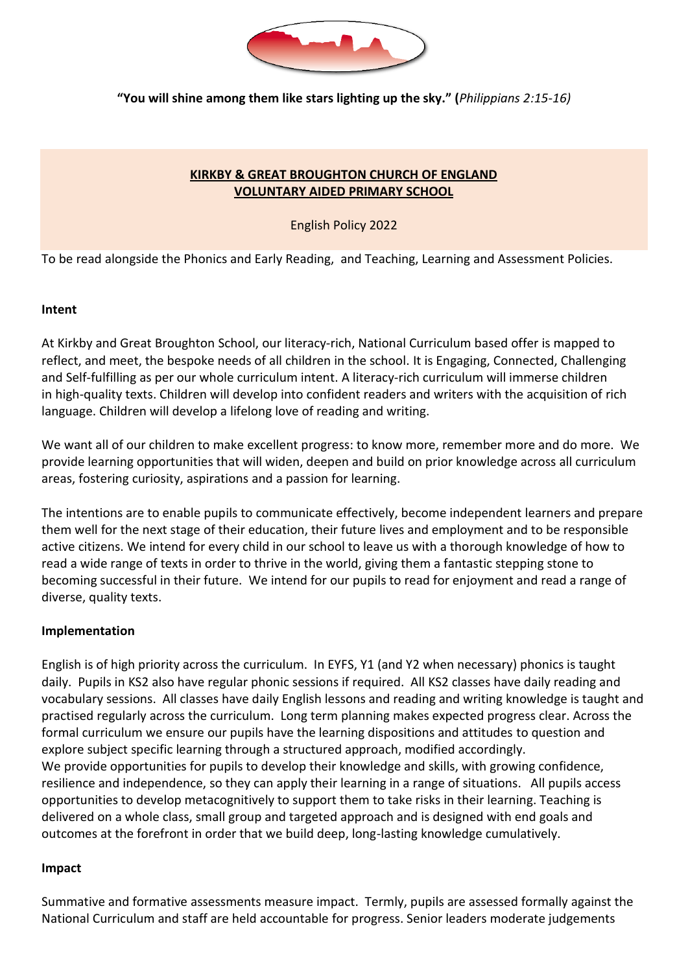

**"You will shine among them like stars lighting up the sky." (***Philippians 2:15-16)*

## **KIRKBY & GREAT BROUGHTON CHURCH OF ENGLAND VOLUNTARY AIDED PRIMARY SCHOOL**

### English Policy 2022

To be read alongside the Phonics and Early Reading, and Teaching, Learning and Assessment Policies.

#### **Intent**

At Kirkby and Great Broughton School, our literacy-rich, National Curriculum based offer is mapped to reflect, and meet, the bespoke needs of all children in the school. It is Engaging, Connected, Challenging and Self-fulfilling as per our whole curriculum intent. A literacy-rich curriculum will immerse children in high-quality texts. Children will develop into confident readers and writers with the acquisition of rich language. Children will develop a lifelong love of reading and writing.

We want all of our children to make excellent progress: to know more, remember more and do more. We provide learning opportunities that will widen, deepen and build on prior knowledge across all curriculum areas, fostering curiosity, aspirations and a passion for learning.

The intentions are to enable pupils to communicate effectively, become independent learners and prepare them well for the next stage of their education, their future lives and employment and to be responsible active citizens. We intend for every child in our school to leave us with a thorough knowledge of how to read a wide range of texts in order to thrive in the world, giving them a fantastic stepping stone to becoming successful in their future. We intend for our pupils to read for enjoyment and read a range of diverse, quality texts.

#### **Implementation**

English is of high priority across the curriculum. In EYFS, Y1 (and Y2 when necessary) phonics is taught daily. Pupils in KS2 also have regular phonic sessions if required. All KS2 classes have daily reading and vocabulary sessions. All classes have daily English lessons and reading and writing knowledge is taught and practised regularly across the curriculum. Long term planning makes expected progress clear. Across the formal curriculum we ensure our pupils have the learning dispositions and attitudes to question and explore subject specific learning through a structured approach, modified accordingly. We provide opportunities for pupils to develop their knowledge and skills, with growing confidence, resilience and independence, so they can apply their learning in a range of situations. All pupils access opportunities to develop metacognitively to support them to take risks in their learning. Teaching is delivered on a whole class, small group and targeted approach and is designed with end goals and outcomes at the forefront in order that we build deep, long-lasting knowledge cumulatively.

#### **Impact**

Summative and formative assessments measure impact. Termly, pupils are assessed formally against the National Curriculum and staff are held accountable for progress. Senior leaders moderate judgements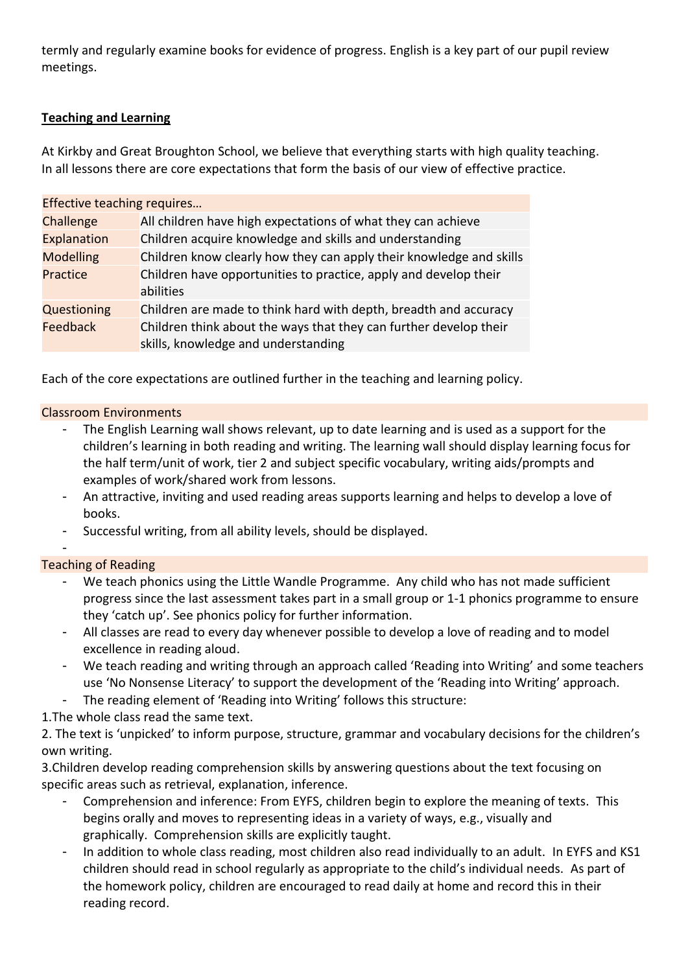termly and regularly examine books for evidence of progress. English is a key part of our pupil review meetings.

# **Teaching and Learning**

At Kirkby and Great Broughton School, we believe that everything starts with high quality teaching. In all lessons there are core expectations that form the basis of our view of effective practice.

| Effective teaching requires |                                                                                                          |
|-----------------------------|----------------------------------------------------------------------------------------------------------|
| Challenge                   | All children have high expectations of what they can achieve                                             |
| <b>Explanation</b>          | Children acquire knowledge and skills and understanding                                                  |
| <b>Modelling</b>            | Children know clearly how they can apply their knowledge and skills                                      |
| Practice                    | Children have opportunities to practice, apply and develop their<br>abilities                            |
| Questioning                 | Children are made to think hard with depth, breadth and accuracy                                         |
| Feedback                    | Children think about the ways that they can further develop their<br>skills, knowledge and understanding |

Each of the core expectations are outlined further in the teaching and learning policy.

### Classroom Environments

- The English Learning wall shows relevant, up to date learning and is used as a support for the children's learning in both reading and writing. The learning wall should display learning focus for the half term/unit of work, tier 2 and subject specific vocabulary, writing aids/prompts and examples of work/shared work from lessons.
- An attractive, inviting and used reading areas supports learning and helps to develop a love of books.
- Successful writing, from all ability levels, should be displayed.

## Teaching of Reading

-

- We teach phonics using the Little Wandle Programme. Any child who has not made sufficient progress since the last assessment takes part in a small group or 1-1 phonics programme to ensure they 'catch up'. See phonics policy for further information.
- All classes are read to every day whenever possible to develop a love of reading and to model excellence in reading aloud.
- We teach reading and writing through an approach called 'Reading into Writing' and some teachers use 'No Nonsense Literacy' to support the development of the 'Reading into Writing' approach.
- The reading element of 'Reading into Writing' follows this structure:

1.The whole class read the same text.

2. The text is 'unpicked' to inform purpose, structure, grammar and vocabulary decisions for the children's own writing.

3.Children develop reading comprehension skills by answering questions about the text focusing on specific areas such as retrieval, explanation, inference.

- Comprehension and inference: From EYFS, children begin to explore the meaning of texts. This begins orally and moves to representing ideas in a variety of ways, e.g., visually and graphically. Comprehension skills are explicitly taught.
- In addition to whole class reading, most children also read individually to an adult. In EYFS and KS1 children should read in school regularly as appropriate to the child's individual needs. As part of the homework policy, children are encouraged to read daily at home and record this in their reading record.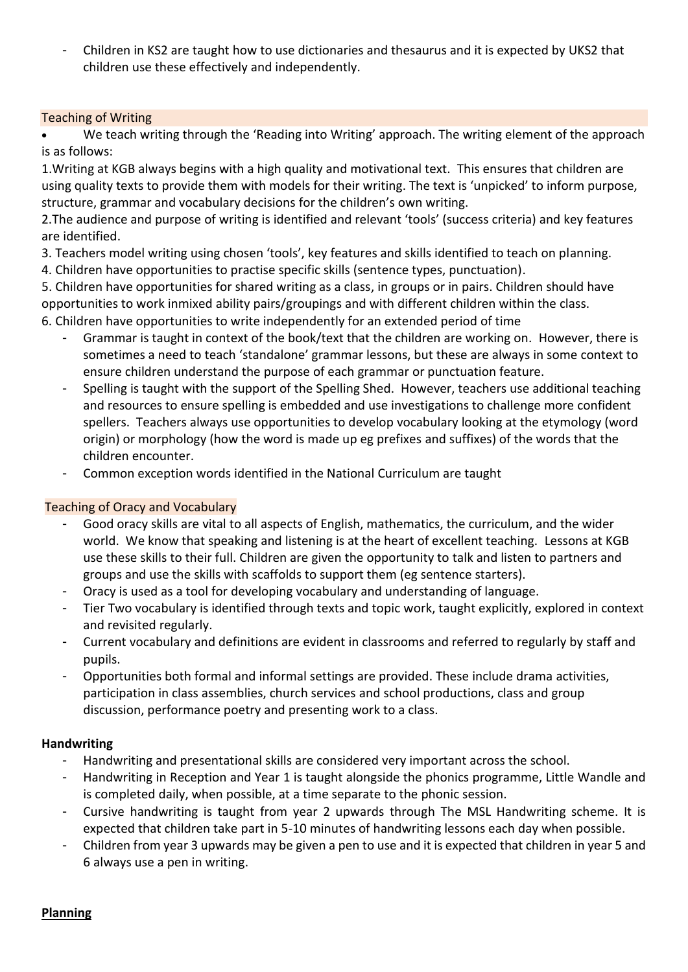- Children in KS2 are taught how to use dictionaries and thesaurus and it is expected by UKS2 that children use these effectively and independently.

## Teaching of Writing

We teach writing through the 'Reading into Writing' approach. The writing element of the approach is as follows:

1.Writing at KGB always begins with a high quality and motivational text. This ensures that children are using quality texts to provide them with models for their writing. The text is 'unpicked' to inform purpose, structure, grammar and vocabulary decisions for the children's own writing.

2.The audience and purpose of writing is identified and relevant 'tools' (success criteria) and key features are identified.

3. Teachers model writing using chosen 'tools', key features and skills identified to teach on planning.

4. Children have opportunities to practise specific skills (sentence types, punctuation).

5. Children have opportunities for shared writing as a class, in groups or in pairs. Children should have opportunities to work inmixed ability pairs/groupings and with different children within the class. 6. Children have opportunities to write independently for an extended period of time

- Grammar is taught in context of the book/text that the children are working on. However, there is sometimes a need to teach 'standalone' grammar lessons, but these are always in some context to ensure children understand the purpose of each grammar or punctuation feature.
- Spelling is taught with the support of the Spelling Shed. However, teachers use additional teaching and resources to ensure spelling is embedded and use investigations to challenge more confident spellers. Teachers always use opportunities to develop vocabulary looking at the etymology (word origin) or morphology (how the word is made up eg prefixes and suffixes) of the words that the children encounter.
- Common exception words identified in the National Curriculum are taught

## Teaching of Oracy and Vocabulary

- Good oracy skills are vital to all aspects of English, mathematics, the curriculum, and the wider world. We know that speaking and listening is at the heart of excellent teaching. Lessons at KGB use these skills to their full. Children are given the opportunity to talk and listen to partners and groups and use the skills with scaffolds to support them (eg sentence starters).
- Oracy is used as a tool for developing vocabulary and understanding of language.
- Tier Two vocabulary is identified through texts and topic work, taught explicitly, explored in context and revisited regularly.
- Current vocabulary and definitions are evident in classrooms and referred to regularly by staff and pupils.
- Opportunities both formal and informal settings are provided. These include drama activities, participation in class assemblies, church services and school productions, class and group discussion, performance poetry and presenting work to a class.

## **Handwriting**

- Handwriting and presentational skills are considered very important across the school.
- Handwriting in Reception and Year 1 is taught alongside the phonics programme, Little Wandle and is completed daily, when possible, at a time separate to the phonic session.
- Cursive handwriting is taught from year 2 upwards through The MSL Handwriting scheme. It is expected that children take part in 5-10 minutes of handwriting lessons each day when possible.
- Children from year 3 upwards may be given a pen to use and it is expected that children in year 5 and 6 always use a pen in writing.

**Planning**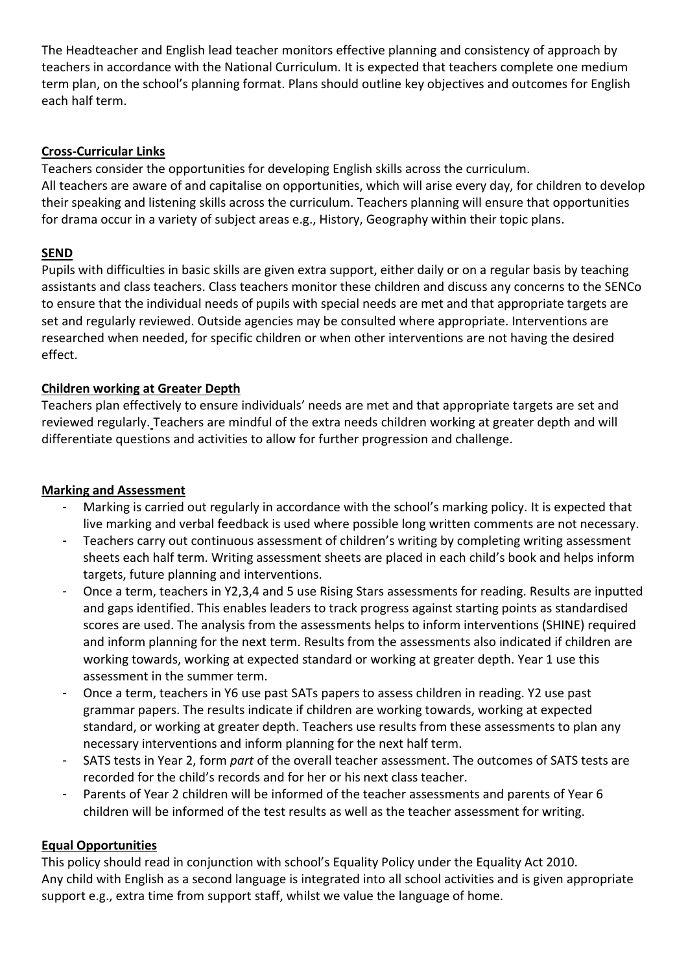The Headteacher and English lead teacher monitors effective planning and consistency of approach by teachers in accordance with the National Curriculum. It is expected that teachers complete one medium term plan, on the school's planning format. Plans should outline key objectives and outcomes for English each half term.

# **Cross-Curricular Links**

Teachers consider the opportunities for developing English skills across the curriculum. All teachers are aware of and capitalise on opportunities, which will arise every day, for children to develop their speaking and listening skills across the curriculum. Teachers planning will ensure that opportunities for drama occur in a variety of subject areas e.g., History, Geography within their topic plans.

# **SEND**

Pupils with difficulties in basic skills are given extra support, either daily or on a regular basis by teaching assistants and class teachers. Class teachers monitor these children and discuss any concerns to the SENCo to ensure that the individual needs of pupils with special needs are met and that appropriate targets are set and regularly reviewed. Outside agencies may be consulted where appropriate. Interventions are researched when needed, for specific children or when other interventions are not having the desired effect.

# **Children working at Greater Depth**

Teachers plan effectively to ensure individuals' needs are met and that appropriate targets are set and reviewed regularly. Teachers are mindful of the extra needs children working at greater depth and will differentiate questions and activities to allow for further progression and challenge.

## **Marking and Assessment**

- Marking is carried out regularly in accordance with the school's marking policy. It is expected that live marking and verbal feedback is used where possible long written comments are not necessary.
- Teachers carry out continuous assessment of children's writing by completing writing assessment sheets each half term. Writing assessment sheets are placed in each child's book and helps inform targets, future planning and interventions.
- Once a term, teachers in Y2,3,4 and 5 use Rising Stars assessments for reading. Results are inputted and gaps identified. This enables leaders to track progress against starting points as standardised scores are used. The analysis from the assessments helps to inform interventions (SHINE) required and inform planning for the next term. Results from the assessments also indicated if children are working towards, working at expected standard or working at greater depth. Year 1 use this assessment in the summer term.
- Once a term, teachers in Y6 use past SATs papers to assess children in reading. Y2 use past grammar papers. The results indicate if children are working towards, working at expected standard, or working at greater depth. Teachers use results from these assessments to plan any necessary interventions and inform planning for the next half term.
- SATS tests in Year 2, form *part* of the overall teacher assessment. The outcomes of SATS tests are recorded for the child's records and for her or his next class teacher.
- Parents of Year 2 children will be informed of the teacher assessments and parents of Year 6 children will be informed of the test results as well as the teacher assessment for writing.

## **Equal Opportunities**

This policy should read in conjunction with school's Equality Policy under the Equality Act 2010. Any child with English as a second language is integrated into all school activities and is given appropriate support e.g., extra time from support staff, whilst we value the language of home.